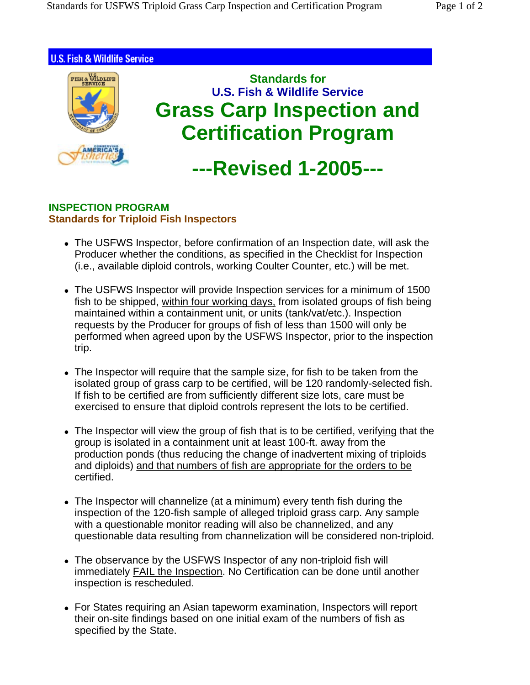

## **INSPECTION PROGRAM Standards for Triploid Fish Inspectors**

- The USFWS Inspector, before confirmation of an Inspection date, will ask the Producer whether the conditions, as specified in the Checklist for Inspection (i.e., available diploid controls, working Coulter Counter, etc.) will be met.
- The USFWS Inspector will provide Inspection services for a minimum of 1500 fish to be shipped, within four working days, from isolated groups of fish being maintained within a containment unit, or units (tank/vat/etc.). Inspection requests by the Producer for groups of fish of less than 1500 will only be performed when agreed upon by the USFWS Inspector, prior to the inspection trip.
- The Inspector will require that the sample size, for fish to be taken from the isolated group of grass carp to be certified, will be 120 randomly-selected fish. If fish to be certified are from sufficiently different size lots, care must be exercised to ensure that diploid controls represent the lots to be certified.
- The Inspector will view the group of fish that is to be certified, verifying that the group is isolated in a containment unit at least 100-ft. away from the production ponds (thus reducing the change of inadvertent mixing of triploids and diploids) and that numbers of fish are appropriate for the orders to be certified.
- The Inspector will channelize (at a minimum) every tenth fish during the inspection of the 120-fish sample of alleged triploid grass carp. Any sample with a questionable monitor reading will also be channelized, and any questionable data resulting from channelization will be considered non-triploid.
- The observance by the USFWS Inspector of any non-triploid fish will immediately FAIL the Inspection. No Certification can be done until another inspection is rescheduled.
- For States requiring an Asian tapeworm examination, Inspectors will report their on-site findings based on one initial exam of the numbers of fish as specified by the State.